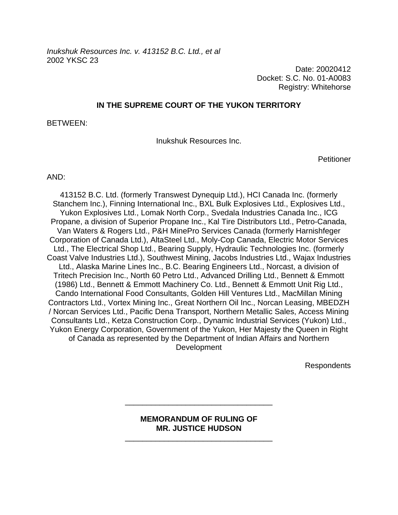*Inukshuk Resources Inc. v. 413152 B.C. Ltd., et al*  2002 YKSC 23

> Date: 20020412 Docket: S.C. No. 01-A0083 Registry: Whitehorse

## **IN THE SUPREME COURT OF THE YUKON TERRITORY**

BETWEEN:

Inukshuk Resources Inc.

**Petitioner** 

AND:

413152 B.C. Ltd. (formerly Transwest Dynequip Ltd.), HCI Canada Inc. (formerly Stanchem Inc.), Finning International Inc., BXL Bulk Explosives Ltd., Explosives Ltd., Yukon Explosives Ltd., Lomak North Corp., Svedala Industries Canada Inc., ICG Propane, a division of Superior Propane Inc., Kal Tire Distributors Ltd., Petro-Canada, Van Waters & Rogers Ltd., P&H MinePro Services Canada (formerly Harnishfeger Corporation of Canada Ltd.), AltaSteel Ltd., Moly-Cop Canada, Electric Motor Services Ltd., The Electrical Shop Ltd., Bearing Supply, Hydraulic Technologies Inc. (formerly Coast Valve Industries Ltd.), Southwest Mining, Jacobs Industries Ltd., Wajax Industries Ltd., Alaska Marine Lines Inc., B.C. Bearing Engineers Ltd., Norcast, a division of Tritech Precision Inc., North 60 Petro Ltd., Advanced Drilling Ltd., Bennett & Emmott (1986) Ltd., Bennett & Emmott Machinery Co. Ltd., Bennett & Emmott Unit Rig Ltd., Cando International Food Consultants, Golden Hill Ventures Ltd., MacMillan Mining Contractors Ltd., Vortex Mining Inc., Great Northern Oil Inc., Norcan Leasing, MBEDZH / Norcan Services Ltd., Pacific Dena Transport, Northern Metallic Sales, Access Mining Consultants Ltd., Ketza Construction Corp., Dynamic Industrial Services (Yukon) Ltd., Yukon Energy Corporation, Government of the Yukon, Her Majesty the Queen in Right of Canada as represented by the Department of Indian Affairs and Northern Development

Respondents

## **MEMORANDUM OF RULING OF MR. JUSTICE HUDSON**

\_\_\_\_\_\_\_\_\_\_\_\_\_\_\_\_\_\_\_\_\_\_\_\_\_\_\_\_\_\_\_\_\_\_

\_\_\_\_\_\_\_\_\_\_\_\_\_\_\_\_\_\_\_\_\_\_\_\_\_\_\_\_\_\_\_\_\_\_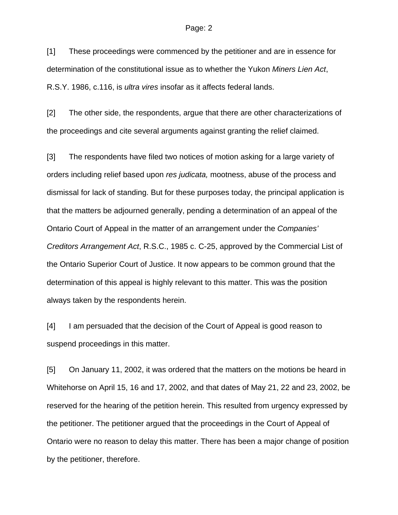## Page: 2

[1] These proceedings were commenced by the petitioner and are in essence for determination of the constitutional issue as to whether the Yukon *Miners Lien Act*, R.S.Y. 1986, c.116, is *ultra vires* insofar as it affects federal lands.

[2] The other side, the respondents, argue that there are other characterizations of the proceedings and cite several arguments against granting the relief claimed.

[3] The respondents have filed two notices of motion asking for a large variety of orders including relief based upon *res judicata,* mootness, abuse of the process and dismissal for lack of standing. But for these purposes today, the principal application is that the matters be adjourned generally, pending a determination of an appeal of the Ontario Court of Appeal in the matter of an arrangement under the *Companies' Creditors Arrangement Act*, R.S.C., 1985 c. C-25, approved by the Commercial List of the Ontario Superior Court of Justice. It now appears to be common ground that the determination of this appeal is highly relevant to this matter. This was the position always taken by the respondents herein.

[4] I am persuaded that the decision of the Court of Appeal is good reason to suspend proceedings in this matter.

[5] On January 11, 2002, it was ordered that the matters on the motions be heard in Whitehorse on April 15, 16 and 17, 2002, and that dates of May 21, 22 and 23, 2002, be reserved for the hearing of the petition herein. This resulted from urgency expressed by the petitioner. The petitioner argued that the proceedings in the Court of Appeal of Ontario were no reason to delay this matter. There has been a major change of position by the petitioner, therefore.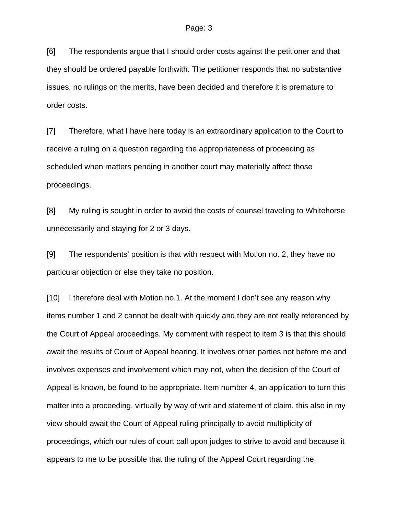[6] The respondents argue that I should order costs against the petitioner and that they should be ordered payable forthwith. The petitioner responds that no substantive issues, no rulings on the merits, have been decided and therefore it is premature to order costs.

[7] Therefore, what I have here today is an extraordinary application to the Court to receive a ruling on a question regarding the appropriateness of proceeding as scheduled when matters pending in another court may materially affect those proceedings.

[8] My ruling is sought in order to avoid the costs of counsel traveling to Whitehorse unnecessarily and staying for 2 or 3 days.

[9] The respondents' position is that with respect with Motion no. 2, they have no particular objection or else they take no position.

[10] I therefore deal with Motion no.1. At the moment I don't see any reason why items number 1 and 2 cannot be dealt with quickly and they are not really referenced by the Court of Appeal proceedings. My comment with respect to item 3 is that this should await the results of Court of Appeal hearing. It involves other parties not before me and involves expenses and involvement which may not, when the decision of the Court of Appeal is known, be found to be appropriate. Item number 4, an application to turn this matter into a proceeding, virtually by way of writ and statement of claim, this also in my view should await the Court of Appeal ruling principally to avoid multiplicity of proceedings, which our rules of court call upon judges to strive to avoid and because it appears to me to be possible that the ruling of the Appeal Court regarding the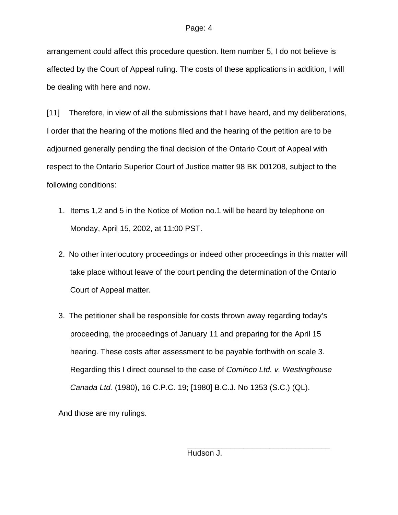arrangement could affect this procedure question. Item number 5, I do not believe is affected by the Court of Appeal ruling. The costs of these applications in addition, I will be dealing with here and now.

[11] Therefore, in view of all the submissions that I have heard, and my deliberations, I order that the hearing of the motions filed and the hearing of the petition are to be adjourned generally pending the final decision of the Ontario Court of Appeal with respect to the Ontario Superior Court of Justice matter 98 BK 001208, subject to the following conditions:

- 1. Items 1,2 and 5 in the Notice of Motion no.1 will be heard by telephone on Monday, April 15, 2002, at 11:00 PST.
- 2. No other interlocutory proceedings or indeed other proceedings in this matter will take place without leave of the court pending the determination of the Ontario Court of Appeal matter.
- 3. The petitioner shall be responsible for costs thrown away regarding today's proceeding, the proceedings of January 11 and preparing for the April 15 hearing. These costs after assessment to be payable forthwith on scale 3. Regarding this I direct counsel to the case of *Cominco Ltd. v. Westinghouse Canada Ltd.* (1980), 16 C.P.C. 19; [1980] B.C.J. No 1353 (S.C.) (QL).

And those are my rulings.

Hudson J.

 $\overline{\phantom{a}}$  , and the contract of the contract of the contract of the contract of the contract of the contract of the contract of the contract of the contract of the contract of the contract of the contract of the contrac